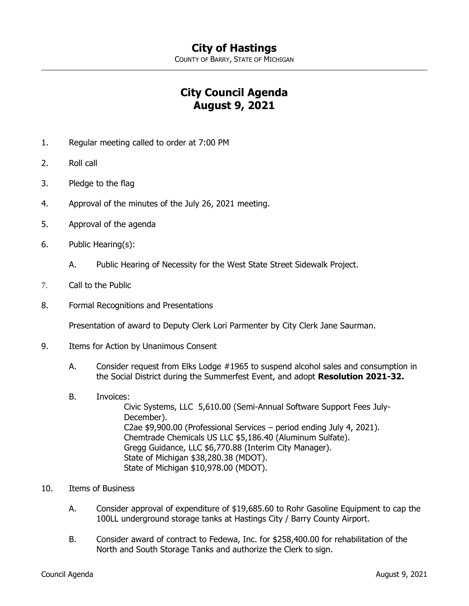COUNTY OF BARRY, STATE OF MICHIGAN

## **City Council Agenda August 9, 2021**

- 1. Regular meeting called to order at 7:00 PM
- 2. Roll call
- 3. Pledge to the flag
- 4. Approval of the minutes of the July 26, 2021 meeting.
- 5. Approval of the agenda
- 6. Public Hearing(s):
	- A. Public Hearing of Necessity for the West State Street Sidewalk Project.
- 7. Call to the Public
- 8. Formal Recognitions and Presentations

Presentation of award to Deputy Clerk Lori Parmenter by City Clerk Jane Saurman.

- 9. Items for Action by Unanimous Consent
	- A. Consider request from Elks Lodge #1965 to suspend alcohol sales and consumption in the Social District during the Summerfest Event, and adopt **Resolution 2021-32.**
	- B. Invoices:

Civic Systems, LLC 5,610.00 (Semi-Annual Software Support Fees July-December). C2ae \$9,900.00 (Professional Services – period ending July 4, 2021). Chemtrade Chemicals US LLC \$5,186.40 (Aluminum Sulfate). Gregg Guidance, LLC \$6,770.88 (Interim City Manager). State of Michigan \$38,280.38 (MDOT). State of Michigan \$10,978.00 (MDOT).

- 10. Items of Business
	- A. Consider approval of expenditure of \$19,685.60 to Rohr Gasoline Equipment to cap the 100LL underground storage tanks at Hastings City / Barry County Airport.
	- B. Consider award of contract to Fedewa, Inc. for \$258,400.00 for rehabilitation of the North and South Storage Tanks and authorize the Clerk to sign.